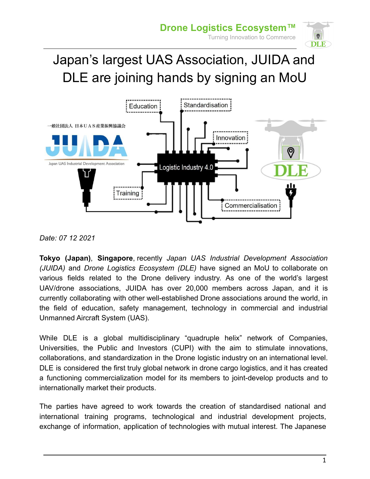

## Japan's largest UAS Association, JUIDA and DLE are joining hands by signing an MoU



*Date: 07 12 2021*

**Tokyo (Japan)**, **Singapore**, recently *Japan UAS Industrial Development Association (JUIDA)* and *Drone Logistics Ecosystem (DLE)* have signed an MoU to collaborate on various fields related to the Drone delivery industry. As one of the world's largest UAV/drone associations, JUIDA has over 20,000 members across Japan, and it is currently collaborating with other well-established Drone associations around the world, in the field of education, safety management, technology in commercial and industrial Unmanned Aircraft System (UAS).

While DLE is a global multidisciplinary "quadruple helix" network of Companies, Universities, the Public and Investors (CUPI) with the aim to stimulate innovations, collaborations, and standardization in the Drone logistic industry on an international level. DLE is considered the first truly global network in drone cargo logistics, and it has created a functioning commercialization model for its members to joint-develop products and to internationally market their products.

The parties have agreed to work towards the creation of standardised national and international training programs, technological and industrial development projects, exchange of information, application of technologies with mutual interest. The Japanese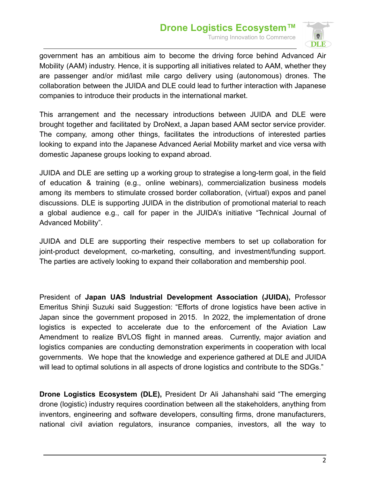## **Drone Logistics Ecosystem™** Turning Innovation to Commerce



government has an ambitious aim to become the driving force behind Advanced Air Mobility (AAM) industry. Hence, it is supporting all initiatives related to AAM, whether they are passenger and/or mid/last mile cargo delivery using (autonomous) drones. The collaboration between the JUIDA and DLE could lead to further interaction with Japanese companies to introduce their products in the international market.

This arrangement and the necessary introductions between JUIDA and DLE were brought together and facilitated by DroNext, a Japan based AAM sector service provider. The company, among other things, facilitates the introductions of interested parties looking to expand into the Japanese Advanced Aerial Mobility market and vice versa with domestic Japanese groups looking to expand abroad.

JUIDA and DLE are setting up a working group to strategise a long-term goal, in the field of education & training (e.g., online webinars), commercialization business models among its members to stimulate crossed border collaboration, (virtual) expos and panel discussions. DLE is supporting JUIDA in the distribution of promotional material to reach a global audience e.g., call for paper in the JUIDA's initiative "Technical Journal of Advanced Mobility".

JUIDA and DLE are supporting their respective members to set up collaboration for joint-product development, co-marketing, consulting, and investment/funding support. The parties are actively looking to expand their collaboration and membership pool.

President of **Japan UAS Industrial Development Association (JUIDA),** Professor Emeritus Shinji Suzuki said Suggestion: "Efforts of drone logistics have been active in Japan since the government proposed in 2015. In 2022, the implementation of drone logistics is expected to accelerate due to the enforcement of the Aviation Law Amendment to realize BVLOS flight in manned areas. Currently, major aviation and logistics companies are conducting demonstration experiments in cooperation with local governments. We hope that the knowledge and experience gathered at DLE and JUIDA will lead to optimal solutions in all aspects of drone logistics and contribute to the SDGs."

**Drone Logistics Ecosystem (DLE),** President Dr Ali Jahanshahi said "The emerging drone (logistic) industry requires coordination between all the stakeholders, anything from inventors, engineering and software developers, consulting firms, drone manufacturers, national civil aviation regulators, insurance companies, investors, all the way to